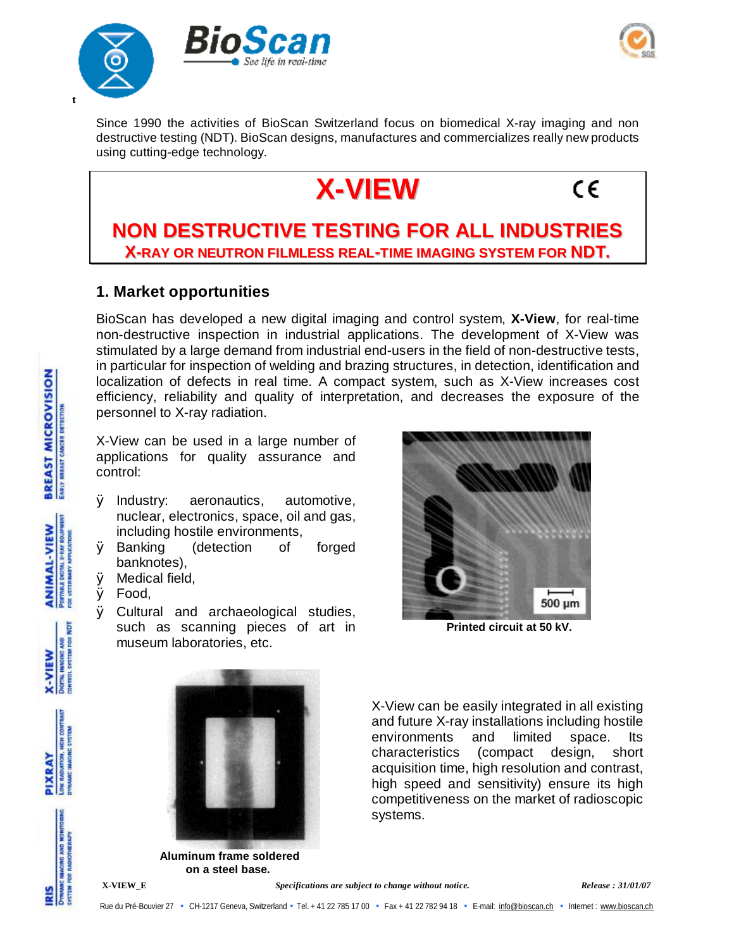



Since 1990 the activities of BioScan Switzerland focus on biomedical X-ray imaging and non destructive testing (NDT). BioScan designs, manufactures and commercializes really new products using cutting-edge technology.



# C€

## **NON DESTRUCTIVE TESTING FOR ALL INDUSTRIES X-RAY OR NEUTRON FILMLESS REAL-TIME IMAGING SYSTEM FOR NDT.**

### **1. Market opportunities**

BioScan has developed a new digital imaging and control system, **X-View**, for real-time non-destructive inspection in industrial applications. The development of X-View was stimulated by a large demand from industrial end-users in the field of non-destructive tests, in particular for inspection of welding and brazing structures, in detection, identification and localization of defects in real time. A compact system, such as X-View increases cost efficiency, reliability and quality of interpretation, and decreases the exposure of the personnel to X-ray radiation.

X-View can be used in a large number of applications for quality assurance and control:

- Ø Industry: aeronautics, automotive, nuclear, electronics, space, oil and gas, including hostile environments,
- Ø Banking (detection of forged banknotes),
- Ø Medical field,
- Ø Food,
- Ø Cultural and archaeological studies, such as scanning pieces of art in museum laboratories, etc.



**Printed circuit at 50 kV.**



X-View can be easily integrated in all existing and future X-ray installations including hostile environments and limited space. Its characteristics (compact design, short acquisition time, high resolution and contrast, high speed and sensitivity) ensure its high competitiveness on the market of radioscopic systems.

**Aluminum frame soldered on a steel base.**

**BREAST MICROVISION ENRIV BRENST CANCER DETECTION** 

> PORTABLE DICTAL X-RAY EQUIPMENT **ANIMAL-VIEW**



RADUCTION, HIGH COM PIXRAY

**INCIN CINY** 

**X-VIEW\_E** *Specifications are subject to change without notice. Release : 31/01/07*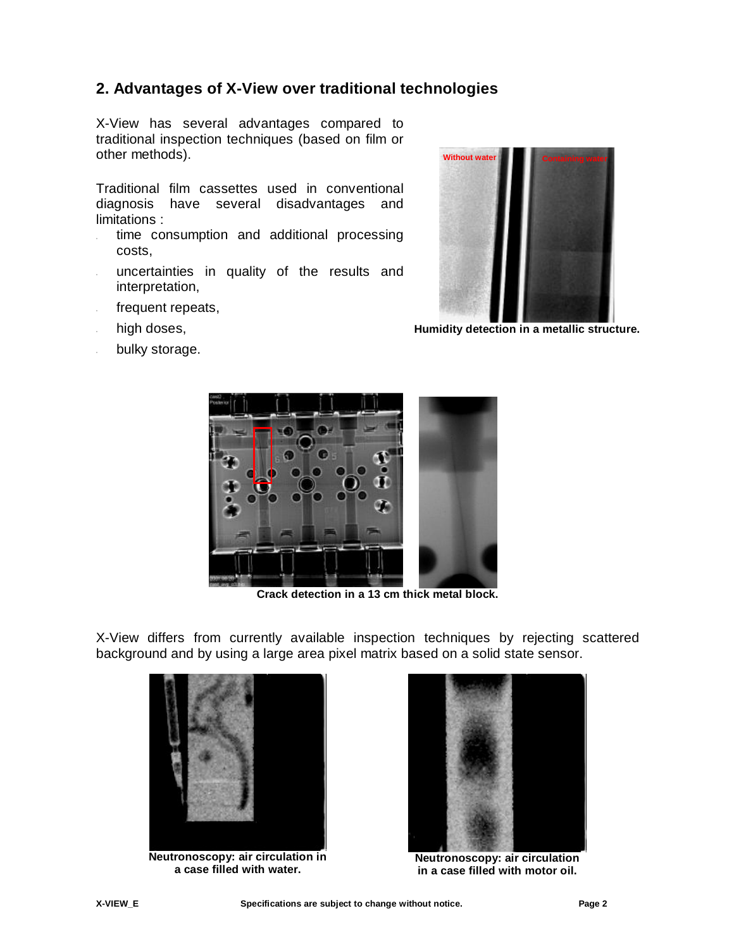## **2. Advantages of X-View over traditional technologies**

X-View has several advantages compared to traditional inspection techniques (based on film or other methods).

Traditional film cassettes used in conventional diagnosis have several disadvantages and limitations :

- time consumption and additional processing costs,
- uncertainties in quality of the results and interpretation,
- frequent repeats,
- high doses,
- bulky storage.



**Humidity detection in a metallic structure.**



**Crack detection in a 13 cm thick metal block.** 

X-View differs from currently available inspection techniques by rejecting scattered background and by using a large area pixel matrix based on a solid state sensor.



**Neutronoscopy: air circulation in a case filled with water.**



**Neutronoscopy: air circulation in a case filled with motor oil.**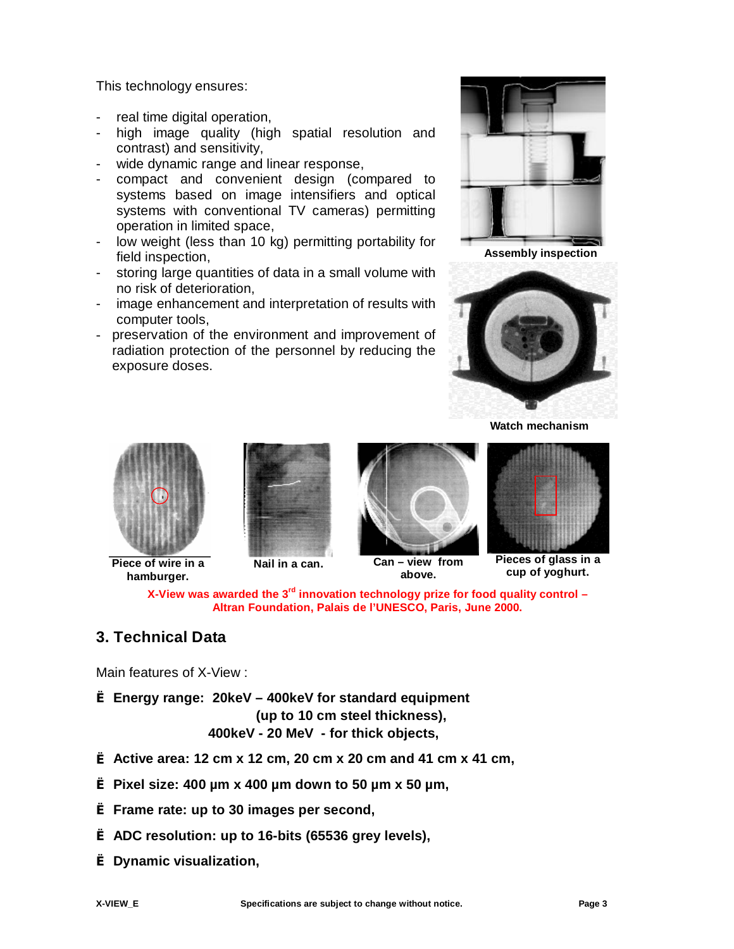This technology ensures:

- real time digital operation,
- high image quality (high spatial resolution and contrast) and sensitivity,
- wide dynamic range and linear response,
- compact and convenient design (compared to systems based on image intensifiers and optical systems with conventional TV cameras) permitting operation in limited space,
- low weight (less than 10 kg) permitting portability for field inspection,
- storing large quantities of data in a small volume with no risk of deterioration,
- image enhancement and interpretation of results with computer tools,
- preservation of the environment and improvement of radiation protection of the personnel by reducing the exposure doses.



**Assembly inspection**



**Watch mechanism**



**X-View was awarded the 3rd innovation technology prize for food quality control – Altran Foundation, Palais de l'UNESCO, Paris, June 2000.** 

## **3. Technical Data**

Main features of X-View :

**è Energy range: 20keV – 400keV for standard equipment (up to 10 cm steel thickness), 400keV - 20 MeV - for thick objects,** 

- **è Active area: 12 cm x 12 cm, 20 cm x 20 cm and 41 cm x 41 cm,**
- **è Pixel size: 400 µm x 400 µm down to 50 µm x 50 µm,**
- **è Frame rate: up to 30 images per second,**
- **è ADC resolution: up to 16-bits (65536 grey levels),**
- **è Dynamic visualization,**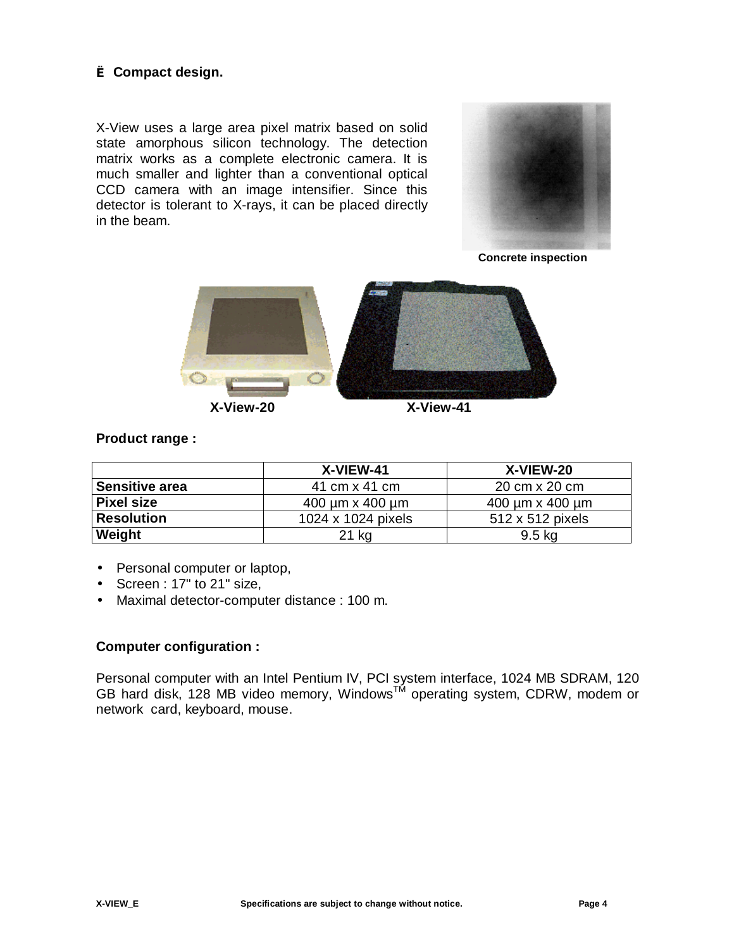#### **è Compact design.**

X-View uses a large area pixel matrix based on solid state amorphous silicon technology. The detection matrix works as a complete electronic camera. It is much smaller and lighter than a conventional optical CCD camera with an image intensifier. Since this detector is tolerant to X-rays, it can be placed directly in the beam.



**Concrete inspection** 



#### **Product range :**

|                   | X-VIEW-41                    | X-VIEW-20                    |
|-------------------|------------------------------|------------------------------|
| Sensitive area    | 41 cm x 41 cm                | 20 cm x 20 cm                |
| Pixel size        | $400 \mu m \times 400 \mu m$ | $400 \mu m \times 400 \mu m$ |
| <b>Resolution</b> | 1024 x 1024 pixels           | 512 x 512 pixels             |
| <b>Weight</b>     | 21 kg                        | 9.5 kg                       |

- Personal computer or laptop,
- Screen : 17" to 21" size,
- Maximal detector-computer distance : 100 m.

#### **Computer configuration :**

Personal computer with an Intel Pentium IV, PCI system interface, 1024 MB SDRAM, 120 GB hard disk, 128 MB video memory, Windows<sup>TM</sup> operating system, CDRW, modem or network card, keyboard, mouse.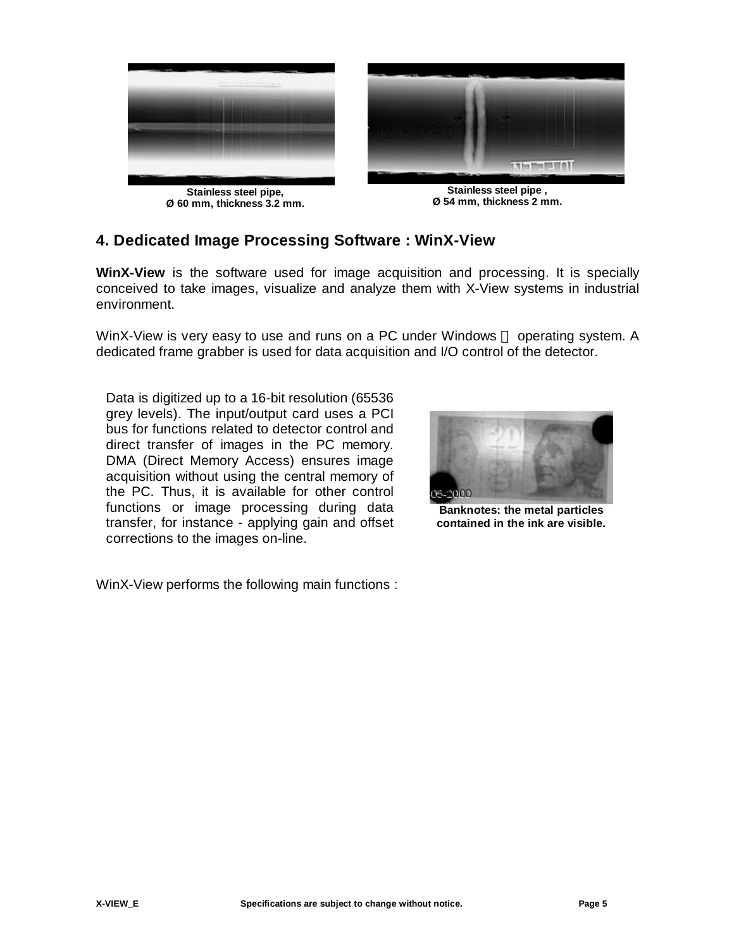

**Stainless steel pipe, Ø 60 mm, thickness 3.2 mm.**



**Stainless steel pipe , Ø 54 mm, thickness 2 mm.**

### **4. Dedicated Image Processing Software : WinX-View**

**WinX-View** is the software used for image acquisition and processing. It is specially conceived to take images, visualize and analyze them with X-View systems in industrial environment.

WinX-View is very easy to use and runs on a PC under Windows  $TM$  operating system. A dedicated frame grabber is used for data acquisition and I/O control of the detector.

Data is digitized up to a 16-bit resolution (65536 grey levels). The input/output card uses a PCI bus for functions related to detector control and direct transfer of images in the PC memory. DMA (Direct Memory Access) ensures image acquisition without using the central memory of the PC. Thus, it is available for other control functions or image processing during data transfer, for instance - applying gain and offset corrections to the images on-line.

**Banknotes: the metal particles contained in the ink are visible.**

WinX-View performs the following main functions :